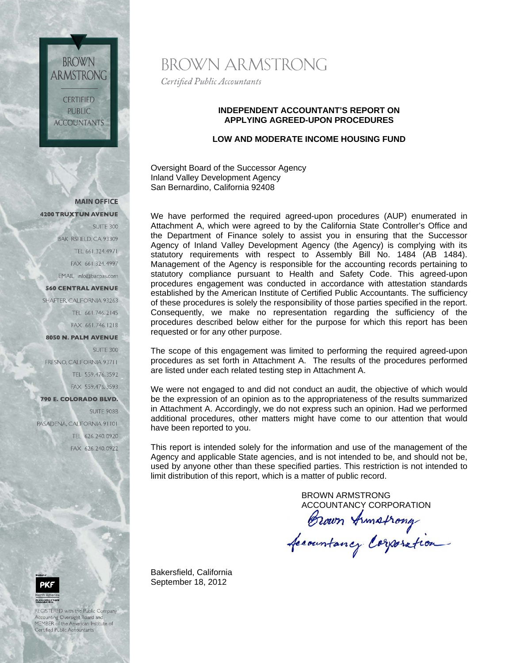**CERTIFIED PUBLIC ACCOUNTANTS** 

**BROWN** 

ARMSTRONG

**MAIN OFFICE 4200 TRUXTUN AVENUE** 

> SUITE 300 BAK RSFIELD, CA 93309 TEL 661.324.4971 FAX 661.324.4997 EMAIL info@bacpas.com

**560 CENTRAL AVENUE** 

SHAFTER, CALIFORNIA 93263 TEL 661.746.2145 FAX 661.746.1218

### 8050 N. PALM AVENUE

**SUITE 300** FRESNO, CALIFORNIA 93711 TEL 559.476.3592 FAX 559,476,3593

790 E. COLORADO BLVD.

SUITE 908B PASADENA, CALIFORNIA 91101 TEL 626.240.0920 FAX 626.240.0922



REGISTERED with the Public Company .<br>Accounting Oversight Board and<br>MEMBER of the American Institute of Certified Public Accountants

BROWN ARMSTRONG

Certified Public Accountants

### **INDEPENDENT ACCOUNTANT'S REPORT ON APPLYING AGREED-UPON PROCEDURES**

# **LOW AND MODERATE INCOME HOUSING FUND**

Oversight Board of the Successor Agency Inland Valley Development Agency San Bernardino, California 92408

We have performed the required agreed-upon procedures (AUP) enumerated in Attachment A, which were agreed to by the California State Controller's Office and the Department of Finance solely to assist you in ensuring that the Successor Agency of Inland Valley Development Agency (the Agency) is complying with its statutory requirements with respect to Assembly Bill No. 1484 (AB 1484). Management of the Agency is responsible for the accounting records pertaining to statutory compliance pursuant to Health and Safety Code. This agreed-upon procedures engagement was conducted in accordance with attestation standards established by the American Institute of Certified Public Accountants. The sufficiency of these procedures is solely the responsibility of those parties specified in the report. Consequently, we make no representation regarding the sufficiency of the procedures described below either for the purpose for which this report has been requested or for any other purpose.

The scope of this engagement was limited to performing the required agreed-upon procedures as set forth in Attachment A. The results of the procedures performed are listed under each related testing step in Attachment A.

We were not engaged to and did not conduct an audit, the objective of which would be the expression of an opinion as to the appropriateness of the results summarized in Attachment A. Accordingly, we do not express such an opinion. Had we performed additional procedures, other matters might have come to our attention that would have been reported to you.

This report is intended solely for the information and use of the management of the Agency and applicable State agencies, and is not intended to be, and should not be, used by anyone other than these specified parties. This restriction is not intended to limit distribution of this report, which is a matter of public record.

BROWN ARMSTRONG

ACCOUNTANCY CORPORATION<br>Brown Armstrong<br>Accountancy Corporation

Bakersfield, California September 18, 2012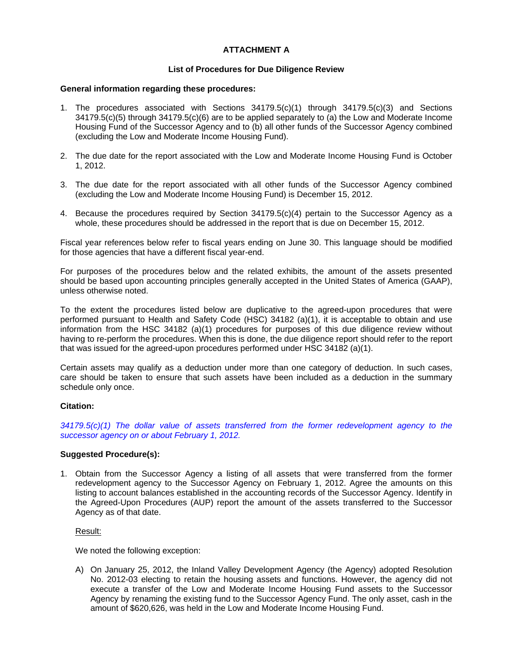### **ATTACHMENT A**

### **List of Procedures for Due Diligence Review**

### **General information regarding these procedures:**

- 1. The procedures associated with Sections 34179.5(c)(1) through 34179.5(c)(3) and Sections 34179.5(c)(5) through 34179.5(c)(6) are to be applied separately to (a) the Low and Moderate Income Housing Fund of the Successor Agency and to (b) all other funds of the Successor Agency combined (excluding the Low and Moderate Income Housing Fund).
- 2. The due date for the report associated with the Low and Moderate Income Housing Fund is October 1, 2012.
- 3. The due date for the report associated with all other funds of the Successor Agency combined (excluding the Low and Moderate Income Housing Fund) is December 15, 2012.
- 4. Because the procedures required by Section 34179.5(c)(4) pertain to the Successor Agency as a whole, these procedures should be addressed in the report that is due on December 15, 2012.

Fiscal year references below refer to fiscal years ending on June 30. This language should be modified for those agencies that have a different fiscal year-end.

For purposes of the procedures below and the related exhibits, the amount of the assets presented should be based upon accounting principles generally accepted in the United States of America (GAAP), unless otherwise noted.

To the extent the procedures listed below are duplicative to the agreed-upon procedures that were performed pursuant to Health and Safety Code (HSC) 34182 (a)(1), it is acceptable to obtain and use information from the HSC 34182 (a)(1) procedures for purposes of this due diligence review without having to re-perform the procedures. When this is done, the due diligence report should refer to the report that was issued for the agreed-upon procedures performed under HSC 34182 (a)(1).

Certain assets may qualify as a deduction under more than one category of deduction. In such cases, care should be taken to ensure that such assets have been included as a deduction in the summary schedule only once.

### **Citation:**

*34179.5(c)(1) The dollar value of assets transferred from the former redevelopment agency to the successor agency on or about February 1, 2012.* 

### **Suggested Procedure(s):**

1. Obtain from the Successor Agency a listing of all assets that were transferred from the former redevelopment agency to the Successor Agency on February 1, 2012. Agree the amounts on this listing to account balances established in the accounting records of the Successor Agency. Identify in the Agreed-Upon Procedures (AUP) report the amount of the assets transferred to the Successor Agency as of that date.

### Result:

We noted the following exception:

A) On January 25, 2012, the Inland Valley Development Agency (the Agency) adopted Resolution No. 2012-03 electing to retain the housing assets and functions. However, the agency did not execute a transfer of the Low and Moderate Income Housing Fund assets to the Successor Agency by renaming the existing fund to the Successor Agency Fund. The only asset, cash in the amount of \$620,626, was held in the Low and Moderate Income Housing Fund.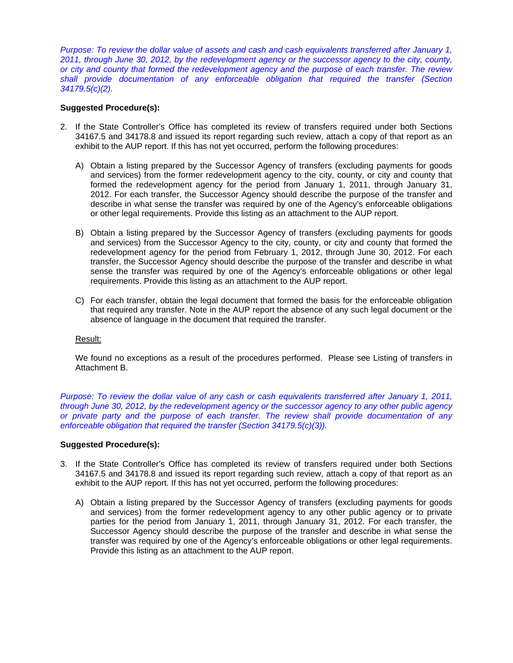*Purpose: To review the dollar value of assets and cash and cash equivalents transferred after January 1, 2011, through June 30, 2012, by the redevelopment agency or the successor agency to the city, county, or city and county that formed the redevelopment agency and the purpose of each transfer. The review shall provide documentation of any enforceable obligation that required the transfer (Section 34179.5(c)(2).* 

### **Suggested Procedure(s):**

- 2. If the State Controller's Office has completed its review of transfers required under both Sections 34167.5 and 34178.8 and issued its report regarding such review, attach a copy of that report as an exhibit to the AUP report. If this has not yet occurred, perform the following procedures:
	- A) Obtain a listing prepared by the Successor Agency of transfers (excluding payments for goods and services) from the former redevelopment agency to the city, county, or city and county that formed the redevelopment agency for the period from January 1, 2011, through January 31, 2012. For each transfer, the Successor Agency should describe the purpose of the transfer and describe in what sense the transfer was required by one of the Agency's enforceable obligations or other legal requirements. Provide this listing as an attachment to the AUP report.
	- B) Obtain a listing prepared by the Successor Agency of transfers (excluding payments for goods and services) from the Successor Agency to the city, county, or city and county that formed the redevelopment agency for the period from February 1, 2012, through June 30, 2012. For each transfer, the Successor Agency should describe the purpose of the transfer and describe in what sense the transfer was required by one of the Agency's enforceable obligations or other legal requirements. Provide this listing as an attachment to the AUP report.
	- C) For each transfer, obtain the legal document that formed the basis for the enforceable obligation that required any transfer. Note in the AUP report the absence of any such legal document or the absence of language in the document that required the transfer.

### Result:

We found no exceptions as a result of the procedures performed. Please see Listing of transfers in Attachment B.

*Purpose: To review the dollar value of any cash or cash equivalents transferred after January 1, 2011, through June 30, 2012, by the redevelopment agency or the successor agency to any other public agency or private party and the purpose of each transfer. The review shall provide documentation of any enforceable obligation that required the transfer (Section 34179.5(c)(3)).* 

### **Suggested Procedure(s):**

- 3. If the State Controller's Office has completed its review of transfers required under both Sections 34167.5 and 34178.8 and issued its report regarding such review, attach a copy of that report as an exhibit to the AUP report. If this has not yet occurred, perform the following procedures:
	- A) Obtain a listing prepared by the Successor Agency of transfers (excluding payments for goods and services) from the former redevelopment agency to any other public agency or to private parties for the period from January 1, 2011, through January 31, 2012. For each transfer, the Successor Agency should describe the purpose of the transfer and describe in what sense the transfer was required by one of the Agency's enforceable obligations or other legal requirements. Provide this listing as an attachment to the AUP report.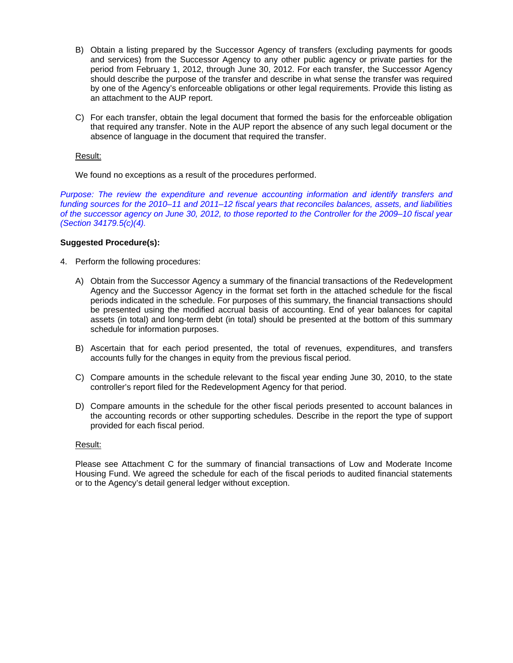- B) Obtain a listing prepared by the Successor Agency of transfers (excluding payments for goods and services) from the Successor Agency to any other public agency or private parties for the period from February 1, 2012, through June 30, 2012. For each transfer, the Successor Agency should describe the purpose of the transfer and describe in what sense the transfer was required by one of the Agency's enforceable obligations or other legal requirements. Provide this listing as an attachment to the AUP report.
- C) For each transfer, obtain the legal document that formed the basis for the enforceable obligation that required any transfer. Note in the AUP report the absence of any such legal document or the absence of language in the document that required the transfer.

### Result:

We found no exceptions as a result of the procedures performed.

*Purpose: The review the expenditure and revenue accounting information and identify transfers and funding sources for the 2010–11 and 2011–12 fiscal years that reconciles balances, assets, and liabilities of the successor agency on June 30, 2012, to those reported to the Controller for the 2009–10 fiscal year (Section 34179.5(c)(4).* 

### **Suggested Procedure(s):**

- 4. Perform the following procedures:
	- A) Obtain from the Successor Agency a summary of the financial transactions of the Redevelopment Agency and the Successor Agency in the format set forth in the attached schedule for the fiscal periods indicated in the schedule. For purposes of this summary, the financial transactions should be presented using the modified accrual basis of accounting. End of year balances for capital assets (in total) and long-term debt (in total) should be presented at the bottom of this summary schedule for information purposes.
	- B) Ascertain that for each period presented, the total of revenues, expenditures, and transfers accounts fully for the changes in equity from the previous fiscal period.
	- C) Compare amounts in the schedule relevant to the fiscal year ending June 30, 2010, to the state controller's report filed for the Redevelopment Agency for that period.
	- D) Compare amounts in the schedule for the other fiscal periods presented to account balances in the accounting records or other supporting schedules. Describe in the report the type of support provided for each fiscal period.

### Result:

Please see Attachment C for the summary of financial transactions of Low and Moderate Income Housing Fund. We agreed the schedule for each of the fiscal periods to audited financial statements or to the Agency's detail general ledger without exception.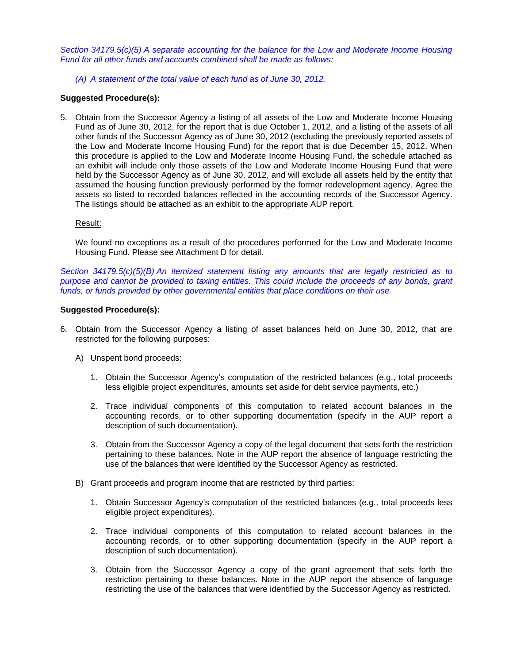*Section 34179.5(c)(5) A separate accounting for the balance for the Low and Moderate Income Housing Fund for all other funds and accounts combined shall be made as follows:* 

*(A) A statement of the total value of each fund as of June 30, 2012.* 

### **Suggested Procedure(s):**

5. Obtain from the Successor Agency a listing of all assets of the Low and Moderate Income Housing Fund as of June 30, 2012, for the report that is due October 1, 2012, and a listing of the assets of all other funds of the Successor Agency as of June 30, 2012 (excluding the previously reported assets of the Low and Moderate Income Housing Fund) for the report that is due December 15, 2012. When this procedure is applied to the Low and Moderate Income Housing Fund, the schedule attached as an exhibit will include only those assets of the Low and Moderate Income Housing Fund that were held by the Successor Agency as of June 30, 2012, and will exclude all assets held by the entity that assumed the housing function previously performed by the former redevelopment agency. Agree the assets so listed to recorded balances reflected in the accounting records of the Successor Agency. The listings should be attached as an exhibit to the appropriate AUP report.

### Result:

We found no exceptions as a result of the procedures performed for the Low and Moderate Income Housing Fund. Please see Attachment D for detail.

*Section 34179.5(c)(5)(B) An itemized statement listing any amounts that are legally restricted as to purpose and cannot be provided to taxing entities. This could include the proceeds of any bonds, grant funds, or funds provided by other governmental entities that place conditions on their use.* 

### **Suggested Procedure(s):**

- 6. Obtain from the Successor Agency a listing of asset balances held on June 30, 2012, that are restricted for the following purposes:
	- A) Unspent bond proceeds:
		- 1. Obtain the Successor Agency's computation of the restricted balances (e.g., total proceeds less eligible project expenditures, amounts set aside for debt service payments, etc.)
		- 2. Trace individual components of this computation to related account balances in the accounting records, or to other supporting documentation (specify in the AUP report a description of such documentation).
		- 3. Obtain from the Successor Agency a copy of the legal document that sets forth the restriction pertaining to these balances. Note in the AUP report the absence of language restricting the use of the balances that were identified by the Successor Agency as restricted.
	- B) Grant proceeds and program income that are restricted by third parties:
		- 1. Obtain Successor Agency's computation of the restricted balances (e.g., total proceeds less eligible project expenditures).
		- 2. Trace individual components of this computation to related account balances in the accounting records, or to other supporting documentation (specify in the AUP report a description of such documentation).
		- 3. Obtain from the Successor Agency a copy of the grant agreement that sets forth the restriction pertaining to these balances. Note in the AUP report the absence of language restricting the use of the balances that were identified by the Successor Agency as restricted.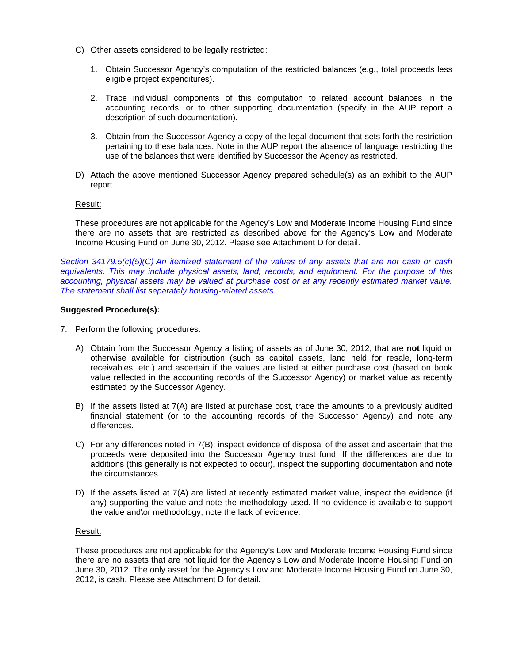- C) Other assets considered to be legally restricted:
	- 1. Obtain Successor Agency's computation of the restricted balances (e.g., total proceeds less eligible project expenditures).
	- 2. Trace individual components of this computation to related account balances in the accounting records, or to other supporting documentation (specify in the AUP report a description of such documentation).
	- 3. Obtain from the Successor Agency a copy of the legal document that sets forth the restriction pertaining to these balances. Note in the AUP report the absence of language restricting the use of the balances that were identified by Successor the Agency as restricted.
- D) Attach the above mentioned Successor Agency prepared schedule(s) as an exhibit to the AUP report.

### Result:

These procedures are not applicable for the Agency's Low and Moderate Income Housing Fund since there are no assets that are restricted as described above for the Agency's Low and Moderate Income Housing Fund on June 30, 2012. Please see Attachment D for detail.

*Section 34179.5(c)(5)(C) An itemized statement of the values of any assets that are not cash or cash equivalents. This may include physical assets, land, records, and equipment. For the purpose of this accounting, physical assets may be valued at purchase cost or at any recently estimated market value. The statement shall list separately housing-related assets.* 

### **Suggested Procedure(s):**

- 7. Perform the following procedures:
	- A) Obtain from the Successor Agency a listing of assets as of June 30, 2012, that are **not** liquid or otherwise available for distribution (such as capital assets, land held for resale, long-term receivables, etc.) and ascertain if the values are listed at either purchase cost (based on book value reflected in the accounting records of the Successor Agency) or market value as recently estimated by the Successor Agency.
	- B) If the assets listed at 7(A) are listed at purchase cost, trace the amounts to a previously audited financial statement (or to the accounting records of the Successor Agency) and note any differences.
	- C) For any differences noted in 7(B), inspect evidence of disposal of the asset and ascertain that the proceeds were deposited into the Successor Agency trust fund. If the differences are due to additions (this generally is not expected to occur), inspect the supporting documentation and note the circumstances.
	- D) If the assets listed at 7(A) are listed at recently estimated market value, inspect the evidence (if any) supporting the value and note the methodology used. If no evidence is available to support the value and\or methodology, note the lack of evidence.

### Result:

These procedures are not applicable for the Agency's Low and Moderate Income Housing Fund since there are no assets that are not liquid for the Agency's Low and Moderate Income Housing Fund on June 30, 2012. The only asset for the Agency's Low and Moderate Income Housing Fund on June 30, 2012, is cash. Please see Attachment D for detail.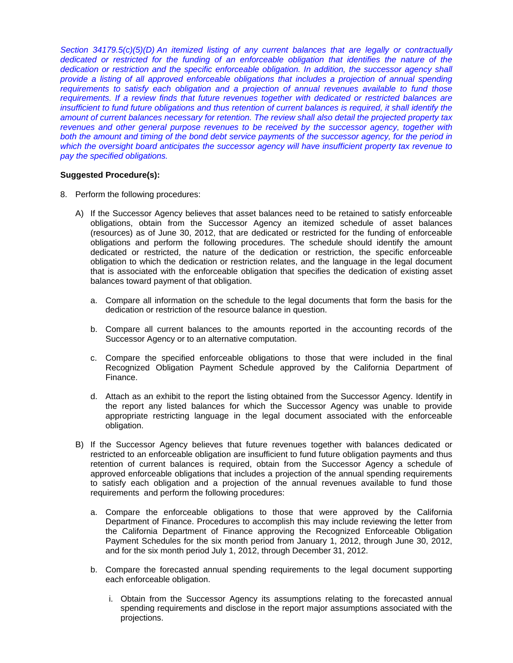*Section 34179.5(c)(5)(D) An itemized listing of any current balances that are legally or contractually*  dedicated or restricted for the funding of an enforceable obligation that identifies the nature of the *dedication or restriction and the specific enforceable obligation. In addition, the successor agency shall provide a listing of all approved enforceable obligations that includes a projection of annual spending requirements to satisfy each obligation and a projection of annual revenues available to fund those requirements. If a review finds that future revenues together with dedicated or restricted balances are insufficient to fund future obligations and thus retention of current balances is required, it shall identify the amount of current balances necessary for retention. The review shall also detail the projected property tax revenues and other general purpose revenues to be received by the successor agency, together with both the amount and timing of the bond debt service payments of the successor agency, for the period in which the oversight board anticipates the successor agency will have insufficient property tax revenue to pay the specified obligations.* 

### **Suggested Procedure(s):**

- 8. Perform the following procedures:
	- A) If the Successor Agency believes that asset balances need to be retained to satisfy enforceable obligations, obtain from the Successor Agency an itemized schedule of asset balances (resources) as of June 30, 2012, that are dedicated or restricted for the funding of enforceable obligations and perform the following procedures. The schedule should identify the amount dedicated or restricted, the nature of the dedication or restriction, the specific enforceable obligation to which the dedication or restriction relates, and the language in the legal document that is associated with the enforceable obligation that specifies the dedication of existing asset balances toward payment of that obligation.
		- a. Compare all information on the schedule to the legal documents that form the basis for the dedication or restriction of the resource balance in question.
		- b. Compare all current balances to the amounts reported in the accounting records of the Successor Agency or to an alternative computation.
		- c. Compare the specified enforceable obligations to those that were included in the final Recognized Obligation Payment Schedule approved by the California Department of Finance.
		- d. Attach as an exhibit to the report the listing obtained from the Successor Agency. Identify in the report any listed balances for which the Successor Agency was unable to provide appropriate restricting language in the legal document associated with the enforceable obligation.
	- B) If the Successor Agency believes that future revenues together with balances dedicated or restricted to an enforceable obligation are insufficient to fund future obligation payments and thus retention of current balances is required, obtain from the Successor Agency a schedule of approved enforceable obligations that includes a projection of the annual spending requirements to satisfy each obligation and a projection of the annual revenues available to fund those requirements and perform the following procedures:
		- a. Compare the enforceable obligations to those that were approved by the California Department of Finance. Procedures to accomplish this may include reviewing the letter from the California Department of Finance approving the Recognized Enforceable Obligation Payment Schedules for the six month period from January 1, 2012, through June 30, 2012, and for the six month period July 1, 2012, through December 31, 2012.
		- b. Compare the forecasted annual spending requirements to the legal document supporting each enforceable obligation.
			- i. Obtain from the Successor Agency its assumptions relating to the forecasted annual spending requirements and disclose in the report major assumptions associated with the projections.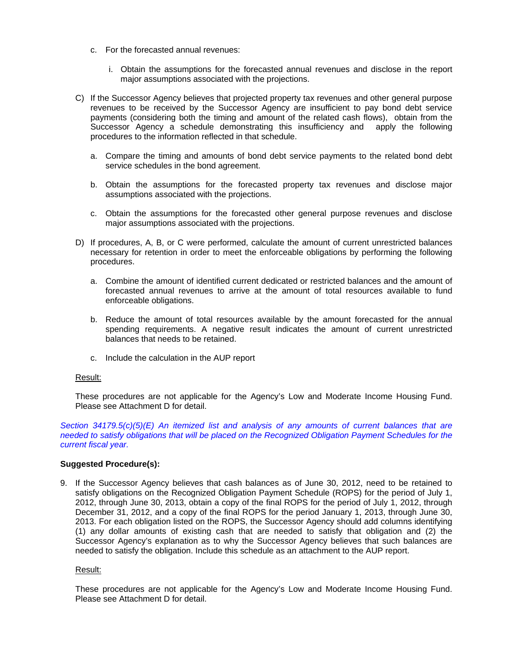- c. For the forecasted annual revenues:
	- i. Obtain the assumptions for the forecasted annual revenues and disclose in the report major assumptions associated with the projections.
- C) If the Successor Agency believes that projected property tax revenues and other general purpose revenues to be received by the Successor Agency are insufficient to pay bond debt service payments (considering both the timing and amount of the related cash flows), obtain from the Successor Agency a schedule demonstrating this insufficiency and apply the following procedures to the information reflected in that schedule.
	- a. Compare the timing and amounts of bond debt service payments to the related bond debt service schedules in the bond agreement.
	- b. Obtain the assumptions for the forecasted property tax revenues and disclose major assumptions associated with the projections.
	- c. Obtain the assumptions for the forecasted other general purpose revenues and disclose major assumptions associated with the projections.
- D) If procedures, A, B, or C were performed, calculate the amount of current unrestricted balances necessary for retention in order to meet the enforceable obligations by performing the following procedures.
	- a. Combine the amount of identified current dedicated or restricted balances and the amount of forecasted annual revenues to arrive at the amount of total resources available to fund enforceable obligations.
	- b. Reduce the amount of total resources available by the amount forecasted for the annual spending requirements. A negative result indicates the amount of current unrestricted balances that needs to be retained.
	- c. Include the calculation in the AUP report

### Result:

These procedures are not applicable for the Agency's Low and Moderate Income Housing Fund. Please see Attachment D for detail.

*Section 34179.5(c)(5)(E) An itemized list and analysis of any amounts of current balances that are needed to satisfy obligations that will be placed on the Recognized Obligation Payment Schedules for the current fiscal year.* 

### **Suggested Procedure(s):**

9. If the Successor Agency believes that cash balances as of June 30, 2012, need to be retained to satisfy obligations on the Recognized Obligation Payment Schedule (ROPS) for the period of July 1, 2012, through June 30, 2013, obtain a copy of the final ROPS for the period of July 1, 2012, through December 31, 2012, and a copy of the final ROPS for the period January 1, 2013, through June 30, 2013. For each obligation listed on the ROPS, the Successor Agency should add columns identifying (1) any dollar amounts of existing cash that are needed to satisfy that obligation and (2) the Successor Agency's explanation as to why the Successor Agency believes that such balances are needed to satisfy the obligation. Include this schedule as an attachment to the AUP report.

#### Result:

These procedures are not applicable for the Agency's Low and Moderate Income Housing Fund. Please see Attachment D for detail.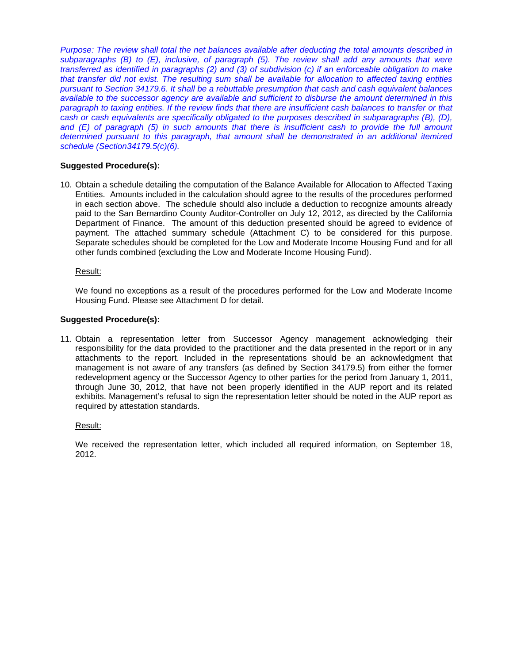*Purpose: The review shall total the net balances available after deducting the total amounts described in subparagraphs (B) to (E), inclusive, of paragraph (5). The review shall add any amounts that were transferred as identified in paragraphs (2) and (3) of subdivision (c) if an enforceable obligation to make that transfer did not exist. The resulting sum shall be available for allocation to affected taxing entities pursuant to Section 34179.6. It shall be a rebuttable presumption that cash and cash equivalent balances available to the successor agency are available and sufficient to disburse the amount determined in this paragraph to taxing entities. If the review finds that there are insufficient cash balances to transfer or that cash or cash equivalents are specifically obligated to the purposes described in subparagraphs (B), (D), and (E) of paragraph (5) in such amounts that there is insufficient cash to provide the full amount determined pursuant to this paragraph, that amount shall be demonstrated in an additional itemized schedule (Section34179.5(c)(6).* 

# **Suggested Procedure(s):**

10. Obtain a schedule detailing the computation of the Balance Available for Allocation to Affected Taxing Entities. Amounts included in the calculation should agree to the results of the procedures performed in each section above. The schedule should also include a deduction to recognize amounts already paid to the San Bernardino County Auditor-Controller on July 12, 2012, as directed by the California Department of Finance. The amount of this deduction presented should be agreed to evidence of payment. The attached summary schedule (Attachment C) to be considered for this purpose. Separate schedules should be completed for the Low and Moderate Income Housing Fund and for all other funds combined (excluding the Low and Moderate Income Housing Fund).

Result:

We found no exceptions as a result of the procedures performed for the Low and Moderate Income Housing Fund. Please see Attachment D for detail.

### **Suggested Procedure(s):**

11. Obtain a representation letter from Successor Agency management acknowledging their responsibility for the data provided to the practitioner and the data presented in the report or in any attachments to the report. Included in the representations should be an acknowledgment that management is not aware of any transfers (as defined by Section 34179.5) from either the former redevelopment agency or the Successor Agency to other parties for the period from January 1, 2011, through June 30, 2012, that have not been properly identified in the AUP report and its related exhibits. Management's refusal to sign the representation letter should be noted in the AUP report as required by attestation standards.

### Result:

We received the representation letter, which included all required information, on September 18, 2012.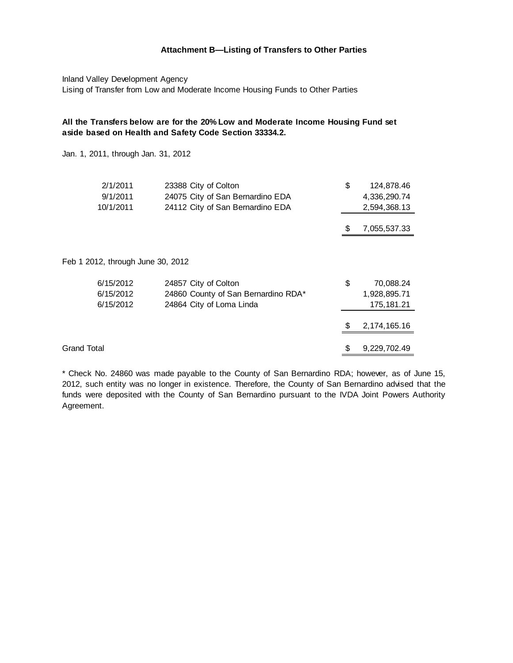### **Attachment B—Listing of Transfers to Other Parties**

Inland Valley Development Agency Lising of Transfer from Low and Moderate Income Housing Funds to Other Parties

## **All the Transfers below are for the 20% Low and Moderate Income Housing Fund set aside based on Health and Safety Code Section 33334.2.**

Jan. 1, 2011, through Jan. 31, 2012

| 2/1/2011                          | 23388 City of Colton                | \$<br>124,878.46   |
|-----------------------------------|-------------------------------------|--------------------|
| 9/1/2011                          | 24075 City of San Bernardino EDA    | 4,336,290.74       |
| 10/1/2011                         | 24112 City of San Bernardino EDA    | 2,594,368.13       |
|                                   |                                     |                    |
|                                   |                                     | \$<br>7,055,537.33 |
|                                   |                                     |                    |
| Feb 1 2012, through June 30, 2012 |                                     |                    |
| 6/15/2012                         | 24857 City of Colton                | \$<br>70,088.24    |
| 6/15/2012                         | 24860 County of San Bernardino RDA* | 1,928,895.71       |
| 6/15/2012                         | 24864 City of Loma Linda            | 175, 181.21        |
|                                   |                                     | \$<br>2,174,165.16 |
|                                   |                                     |                    |
| <b>Grand Total</b>                |                                     | \$<br>9,229,702.49 |

\* Check No. 24860 was made payable to the County of San Bernardino RDA; however, as of June 15, 2012, such entity was no longer in existence. Therefore, the County of San Bernardino advised that the funds were deposited with the County of San Bernardino pursuant to the IVDA Joint Powers Authority Agreement.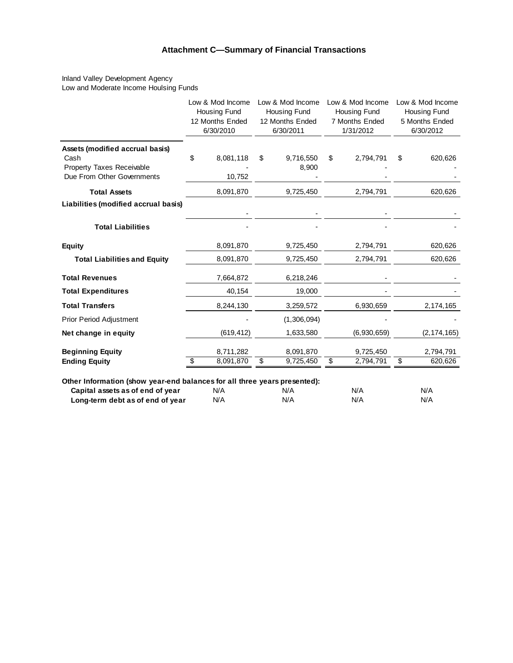# **Attachment C—Summary of Financial Transactions**

Inland Valley Development Agency Low and Moderate Income Houlsing Funds

|                                                                                                    | Low & Mod Income<br><b>Housing Fund</b><br>12 Months Ended<br>6/30/2010 | Low & Mod Income<br>Housing Fund<br>12 Months Ended<br>6/30/2011 | Low & Mod Income<br>Housing Fund<br>7 Months Ended<br>1/31/2012 | Low & Mod Income<br>Housing Fund<br>5 Months Ended<br>6/30/2012 |
|----------------------------------------------------------------------------------------------------|-------------------------------------------------------------------------|------------------------------------------------------------------|-----------------------------------------------------------------|-----------------------------------------------------------------|
| Assets (modified accrual basis)<br>Cash<br>Property Taxes Receivable<br>Due From Other Governments | \$<br>8,081,118<br>10,752                                               | \$<br>9,716,550<br>8,900                                         | \$<br>2,794,791                                                 | \$<br>620,626                                                   |
| <b>Total Assets</b>                                                                                | 8,091,870                                                               | 9,725,450                                                        | 2,794,791                                                       | 620,626                                                         |
| Liabilities (modified accrual basis)                                                               |                                                                         |                                                                  |                                                                 |                                                                 |
| <b>Total Liabilities</b>                                                                           |                                                                         |                                                                  |                                                                 |                                                                 |
| <b>Equity</b>                                                                                      | 8,091,870                                                               | 9,725,450                                                        | 2,794,791                                                       | 620,626                                                         |
| <b>Total Liabilities and Equity</b>                                                                | 8,091,870                                                               | 9,725,450                                                        | 2,794,791                                                       | 620,626                                                         |
| <b>Total Revenues</b>                                                                              | 7,664,872                                                               | 6,218,246                                                        |                                                                 |                                                                 |
| <b>Total Expenditures</b>                                                                          | 40,154                                                                  | 19,000                                                           |                                                                 |                                                                 |
| <b>Total Transfers</b>                                                                             | 8,244,130                                                               | 3,259,572                                                        | 6,930,659                                                       | 2,174,165                                                       |
| <b>Prior Period Adjustment</b>                                                                     |                                                                         | (1,306,094)                                                      |                                                                 |                                                                 |
| Net change in equity                                                                               | (619, 412)                                                              | 1,633,580                                                        | (6,930,659)                                                     | (2, 174, 165)                                                   |
| <b>Beginning Equity</b>                                                                            | 8,711,282                                                               | 8,091,870                                                        | 9,725,450                                                       | 2,794,791                                                       |
| <b>Ending Equity</b>                                                                               | 8,091,870<br>\$                                                         | \$<br>9,725,450                                                  | \$<br>2,794,791                                                 | \$<br>620,626                                                   |

**Other Information (show year-end balances for all three years presented):**

| Capital assets as of end of year | N/A | N/A | N/A | N/A |
|----------------------------------|-----|-----|-----|-----|
| Long-term debt as of end of year | N/A | N/A | N/A | N/A |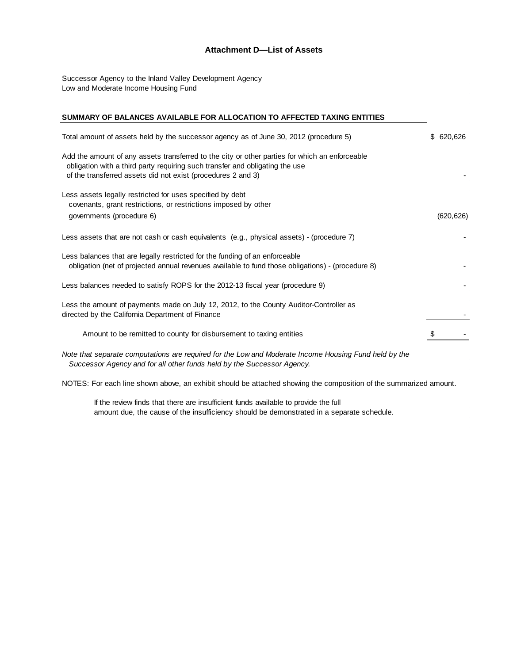### **Attachment D—List of Assets**

Successor Agency to the Inland Valley Development Agency Low and Moderate Income Housing Fund

#### **SUMMARY OF BALANCES AVAILABLE FOR ALLOCATION TO AFFECTED TAXING ENTITIES**

| Total amount of assets held by the successor agency as of June 30, 2012 (procedure 5)                                                                                                                                                          | \$ 620,626 |
|------------------------------------------------------------------------------------------------------------------------------------------------------------------------------------------------------------------------------------------------|------------|
| Add the amount of any assets transferred to the city or other parties for which an enforceable<br>obligation with a third party requiring such transfer and obligating the use<br>of the transferred assets did not exist (procedures 2 and 3) |            |
| Less assets legally restricted for uses specified by debt<br>covenants, grant restrictions, or restrictions imposed by other<br>governments (procedure 6)                                                                                      | (620, 626) |
| Less assets that are not cash or cash equivalents (e.g., physical assets) - (procedure 7)                                                                                                                                                      |            |
| Less balances that are legally restricted for the funding of an enforceable<br>obligation (net of projected annual revenues available to fund those obligations) - (procedure 8)                                                               |            |
| Less balances needed to satisfy ROPS for the 2012-13 fiscal year (procedure 9)                                                                                                                                                                 |            |
| Less the amount of payments made on July 12, 2012, to the County Auditor-Controller as<br>directed by the California Department of Finance                                                                                                     |            |
| Amount to be remitted to county for disbursement to taxing entities                                                                                                                                                                            |            |
| Note that separate computations are required for the Low and Moderate Income Housing Fund held by the                                                                                                                                          |            |

 *Successor Agency and for all other funds held by the Successor Agency.*

NOTES: For each line shown above, an exhibit should be attached showing the composition of the summarized amount.

 If the review finds that there are insufficient funds available to provide the full amount due, the cause of the insufficiency should be demonstrated in a separate schedule.